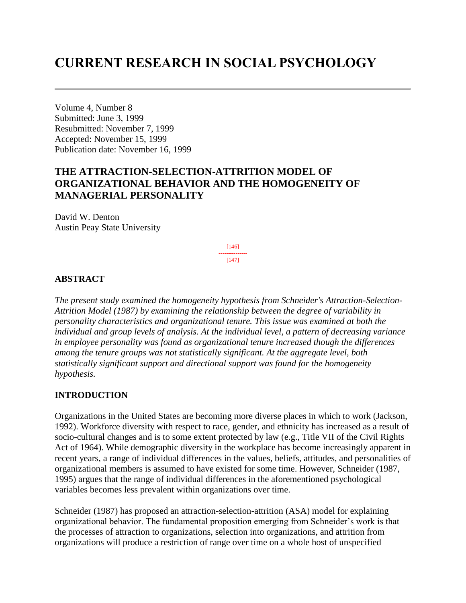# **CURRENT RESEARCH IN SOCIAL PSYCHOLOGY**

Volume 4, Number 8 Submitted: June 3, 1999 Resubmitted: November 7, 1999 Accepted: November 15, 1999 Publication date: November 16, 1999

# **THE ATTRACTION-SELECTION-ATTRITION MODEL OF ORGANIZATIONAL BEHAVIOR AND THE HOMOGENEITY OF MANAGERIAL PERSONALITY**

David W. Denton Austin Peay State University

> [146] ---------------

 $[147]$ 

## **ABSTRACT**

*The present study examined the homogeneity hypothesis from Schneider's Attraction-Selection-Attrition Model (1987) by examining the relationship between the degree of variability in personality characteristics and organizational tenure. This issue was examined at both the individual and group levels of analysis. At the individual level, a pattern of decreasing variance in employee personality was found as organizational tenure increased though the differences among the tenure groups was not statistically significant. At the aggregate level, both statistically significant support and directional support was found for the homogeneity hypothesis.*

## **INTRODUCTION**

Organizations in the United States are becoming more diverse places in which to work (Jackson, 1992). Workforce diversity with respect to race, gender, and ethnicity has increased as a result of socio-cultural changes and is to some extent protected by law (e.g., Title VII of the Civil Rights Act of 1964). While demographic diversity in the workplace has become increasingly apparent in recent years, a range of individual differences in the values, beliefs, attitudes, and personalities of organizational members is assumed to have existed for some time. However, Schneider (1987, 1995) argues that the range of individual differences in the aforementioned psychological variables becomes less prevalent within organizations over time.

Schneider (1987) has proposed an attraction-selection-attrition (ASA) model for explaining organizational behavior. The fundamental proposition emerging from Schneider's work is that the processes of attraction to organizations, selection into organizations, and attrition from organizations will produce a restriction of range over time on a whole host of unspecified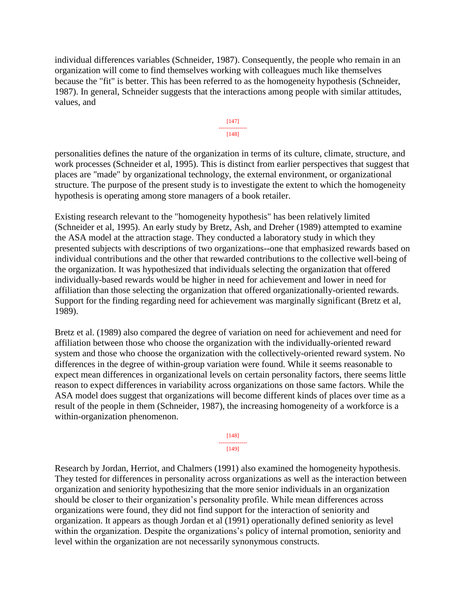individual differences variables (Schneider, 1987). Consequently, the people who remain in an organization will come to find themselves working with colleagues much like themselves because the "fit" is better. This has been referred to as the homogeneity hypothesis (Schneider, 1987). In general, Schneider suggests that the interactions among people with similar attitudes, values, and



personalities defines the nature of the organization in terms of its culture, climate, structure, and work processes (Schneider et al, 1995). This is distinct from earlier perspectives that suggest that places are "made" by organizational technology, the external environment, or organizational structure. The purpose of the present study is to investigate the extent to which the homogeneity hypothesis is operating among store managers of a book retailer.

Existing research relevant to the "homogeneity hypothesis" has been relatively limited (Schneider et al, 1995). An early study by Bretz, Ash, and Dreher (1989) attempted to examine the ASA model at the attraction stage. They conducted a laboratory study in which they presented subjects with descriptions of two organizations--one that emphasized rewards based on individual contributions and the other that rewarded contributions to the collective well-being of the organization. It was hypothesized that individuals selecting the organization that offered individually-based rewards would be higher in need for achievement and lower in need for affiliation than those selecting the organization that offered organizationally-oriented rewards. Support for the finding regarding need for achievement was marginally significant (Bretz et al, 1989).

Bretz et al. (1989) also compared the degree of variation on need for achievement and need for affiliation between those who choose the organization with the individually-oriented reward system and those who choose the organization with the collectively-oriented reward system. No differences in the degree of within-group variation were found. While it seems reasonable to expect mean differences in organizational levels on certain personality factors, there seems little reason to expect differences in variability across organizations on those same factors. While the ASA model does suggest that organizations will become different kinds of places over time as a result of the people in them (Schneider, 1987), the increasing homogeneity of a workforce is a within-organization phenomenon.



Research by Jordan, Herriot, and Chalmers (1991) also examined the homogeneity hypothesis. They tested for differences in personality across organizations as well as the interaction between organization and seniority hypothesizing that the more senior individuals in an organization should be closer to their organization's personality profile. While mean differences across organizations were found, they did not find support for the interaction of seniority and organization. It appears as though Jordan et al (1991) operationally defined seniority as level within the organization. Despite the organizations's policy of internal promotion, seniority and level within the organization are not necessarily synonymous constructs.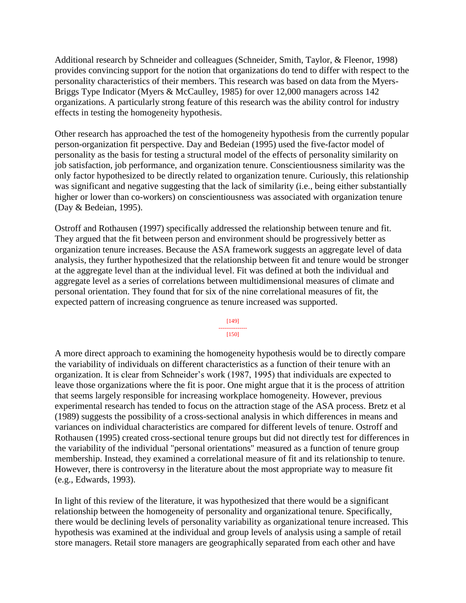Additional research by Schneider and colleagues (Schneider, Smith, Taylor, & Fleenor, 1998) provides convincing support for the notion that organizations do tend to differ with respect to the personality characteristics of their members. This research was based on data from the Myers-Briggs Type Indicator (Myers & McCaulley, 1985) for over 12,000 managers across 142 organizations. A particularly strong feature of this research was the ability control for industry effects in testing the homogeneity hypothesis.

Other research has approached the test of the homogeneity hypothesis from the currently popular person-organization fit perspective. Day and Bedeian (1995) used the five-factor model of personality as the basis for testing a structural model of the effects of personality similarity on job satisfaction, job performance, and organization tenure. Conscientiousness similarity was the only factor hypothesized to be directly related to organization tenure. Curiously, this relationship was significant and negative suggesting that the lack of similarity (i.e., being either substantially higher or lower than co-workers) on conscientiousness was associated with organization tenure (Day & Bedeian, 1995).

Ostroff and Rothausen (1997) specifically addressed the relationship between tenure and fit. They argued that the fit between person and environment should be progressively better as organization tenure increases. Because the ASA framework suggests an aggregate level of data analysis, they further hypothesized that the relationship between fit and tenure would be stronger at the aggregate level than at the individual level. Fit was defined at both the individual and aggregate level as a series of correlations between multidimensional measures of climate and personal orientation. They found that for six of the nine correlational measures of fit, the expected pattern of increasing congruence as tenure increased was supported.

> [149] --------------- [150]

A more direct approach to examining the homogeneity hypothesis would be to directly compare the variability of individuals on different characteristics as a function of their tenure with an organization. It is clear from Schneider's work (1987, 1995) that individuals are expected to leave those organizations where the fit is poor. One might argue that it is the process of attrition that seems largely responsible for increasing workplace homogeneity. However, previous experimental research has tended to focus on the attraction stage of the ASA process. Bretz et al (1989) suggests the possibility of a cross-sectional analysis in which differences in means and variances on individual characteristics are compared for different levels of tenure. Ostroff and Rothausen (1995) created cross-sectional tenure groups but did not directly test for differences in the variability of the individual "personal orientations" measured as a function of tenure group membership. Instead, they examined a correlational measure of fit and its relationship to tenure. However, there is controversy in the literature about the most appropriate way to measure fit (e.g., Edwards, 1993).

In light of this review of the literature, it was hypothesized that there would be a significant relationship between the homogeneity of personality and organizational tenure. Specifically, there would be declining levels of personality variability as organizational tenure increased. This hypothesis was examined at the individual and group levels of analysis using a sample of retail store managers. Retail store managers are geographically separated from each other and have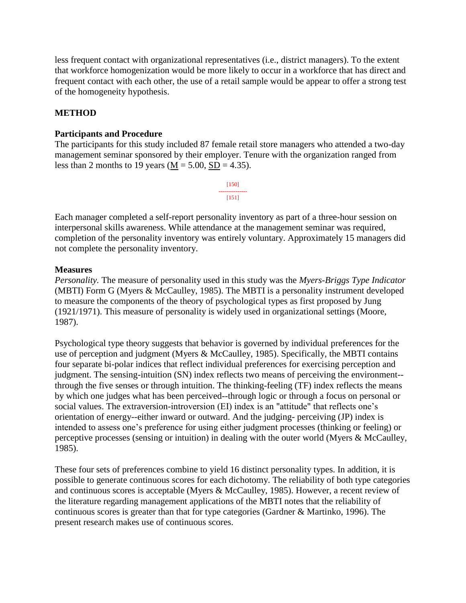less frequent contact with organizational representatives (i.e., district managers). To the extent that workforce homogenization would be more likely to occur in a workforce that has direct and frequent contact with each other, the use of a retail sample would be appear to offer a strong test of the homogeneity hypothesis.

# **METHOD**

## **Participants and Procedure**

The participants for this study included 87 female retail store managers who attended a two-day management seminar sponsored by their employer. Tenure with the organization ranged from less than 2 months to 19 years ( $M = 5.00$ ,  $SD = 4.35$ ).

> [150] --------------- [151]

Each manager completed a self-report personality inventory as part of a three-hour session on interpersonal skills awareness. While attendance at the management seminar was required, completion of the personality inventory was entirely voluntary. Approximately 15 managers did not complete the personality inventory.

#### **Measures**

*Personality.* The measure of personality used in this study was the *Myers-Briggs Type Indicator* (MBTI) Form G (Myers & McCaulley, 1985). The MBTI is a personality instrument developed to measure the components of the theory of psychological types as first proposed by Jung (1921/1971). This measure of personality is widely used in organizational settings (Moore, 1987).

Psychological type theory suggests that behavior is governed by individual preferences for the use of perception and judgment (Myers & McCaulley, 1985). Specifically, the MBTI contains four separate bi-polar indices that reflect individual preferences for exercising perception and judgment. The sensing-intuition (SN) index reflects two means of perceiving the environment- through the five senses or through intuition. The thinking-feeling (TF) index reflects the means by which one judges what has been perceived--through logic or through a focus on personal or social values. The extraversion-introversion (EI) index is an "attitude" that reflects one's orientation of energy--either inward or outward. And the judging- perceiving (JP) index is intended to assess one's preference for using either judgment processes (thinking or feeling) or perceptive processes (sensing or intuition) in dealing with the outer world (Myers & McCaulley, 1985).

These four sets of preferences combine to yield 16 distinct personality types. In addition, it is possible to generate continuous scores for each dichotomy. The reliability of both type categories and continuous scores is acceptable (Myers & McCaulley, 1985). However, a recent review of the literature regarding management applications of the MBTI notes that the reliability of continuous scores is greater than that for type categories (Gardner & Martinko, 1996). The present research makes use of continuous scores.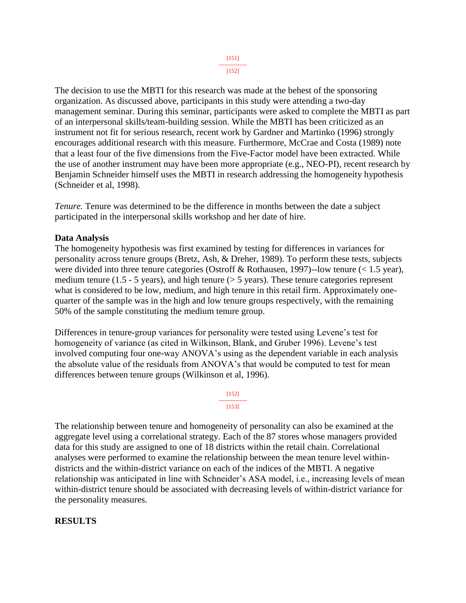[152]

The decision to use the MBTI for this research was made at the behest of the sponsoring organization. As discussed above, participants in this study were attending a two-day management seminar. During this seminar, participants were asked to complete the MBTI as part of an interpersonal skills/team-building session. While the MBTI has been criticized as an instrument not fit for serious research, recent work by Gardner and Martinko (1996) strongly encourages additional research with this measure. Furthermore, McCrae and Costa (1989) note that a least four of the five dimensions from the Five-Factor model have been extracted. While the use of another instrument may have been more appropriate (e.g., NEO-PI), recent research by Benjamin Schneider himself uses the MBTI in research addressing the homogeneity hypothesis (Schneider et al, 1998).

*Tenure.* Tenure was determined to be the difference in months between the date a subject participated in the interpersonal skills workshop and her date of hire.

# **Data Analysis**

The homogeneity hypothesis was first examined by testing for differences in variances for personality across tenure groups (Bretz, Ash, & Dreher, 1989). To perform these tests, subjects were divided into three tenure categories (Ostroff & Rothausen, 1997)--low tenure  $(< 1.5$  year), medium tenure (1.5 - 5 years), and high tenure ( $>$  5 years). These tenure categories represent what is considered to be low, medium, and high tenure in this retail firm. Approximately onequarter of the sample was in the high and low tenure groups respectively, with the remaining 50% of the sample constituting the medium tenure group.

Differences in tenure-group variances for personality were tested using Levene's test for homogeneity of variance (as cited in Wilkinson, Blank, and Gruber 1996). Levene's test involved computing four one-way ANOVA's using as the dependent variable in each analysis the absolute value of the residuals from ANOVA's that would be computed to test for mean differences between tenure groups (Wilkinson et al, 1996).

> [152] --------------- [153]

The relationship between tenure and homogeneity of personality can also be examined at the aggregate level using a correlational strategy. Each of the 87 stores whose managers provided data for this study are assigned to one of 18 districts within the retail chain. Correlational analyses were performed to examine the relationship between the mean tenure level withindistricts and the within-district variance on each of the indices of the MBTI. A negative relationship was anticipated in line with Schneider's ASA model, i.e., increasing levels of mean within-district tenure should be associated with decreasing levels of within-district variance for the personality measures.

# **RESULTS**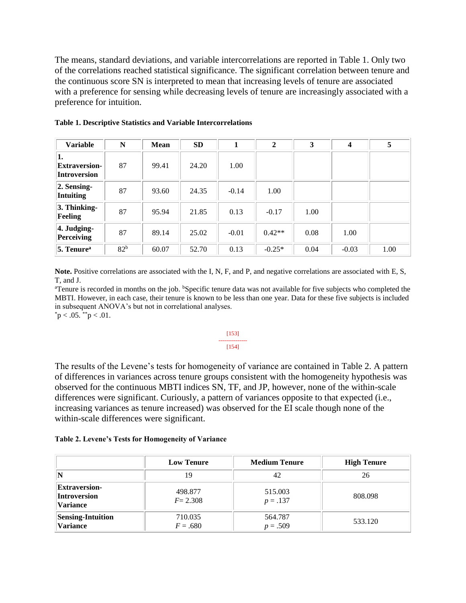The means, standard deviations, and variable intercorrelations are reported in Table 1. Only two of the correlations reached statistical significance. The significant correlation between tenure and the continuous score SN is interpreted to mean that increasing levels of tenure are associated with a preference for sensing while decreasing levels of tenure are increasingly associated with a preference for intuition.

| <b>Variable</b>                            | N               | <b>Mean</b> | <b>SD</b> | 1       | $\mathbf{2}$ | 3    | $\overline{\mathbf{4}}$ | 5    |
|--------------------------------------------|-----------------|-------------|-----------|---------|--------------|------|-------------------------|------|
| 1.<br><b>Extraversion-</b><br>Introversion | 87              | 99.41       | 24.20     | 1.00    |              |      |                         |      |
| $ 2.$ Sensing-<br>Intuiting                | 87              | 93.60       | 24.35     | $-0.14$ | 1.00         |      |                         |      |
| $3.$ Thinking-<br>Feeling                  | 87              | 95.94       | 21.85     | 0.13    | $-0.17$      | 1.00 |                         |      |
| 4. Judging-<br><b>Perceiving</b>           | 87              | 89.14       | 25.02     | $-0.01$ | $0.42**$     | 0.08 | 1.00                    |      |
| $5.$ Tenure <sup>a</sup>                   | 82 <sup>b</sup> | 60.07       | 52.70     | 0.13    | $-0.25*$     | 0.04 | $-0.03$                 | 1.00 |

**Table 1. Descriptive Statistics and Variable Intercorrelations**

**Note.** Positive correlations are associated with the I, N, F, and P, and negative correlations are associated with E, S, T, and J.

<sup>a</sup>Tenure is recorded in months on the job. <sup>b</sup>Specific tenure data was not available for five subjects who completed the MBTI. However, in each case, their tenure is known to be less than one year. Data for these five subjects is included in subsequent ANOVA's but not in correlational analyses.

 $p < .05.$  \*\*p  $< .01.$ 

#### [153] --------------- [154]

The results of the Levene's tests for homogeneity of variance are contained in Table 2. A pattern of differences in variances across tenure groups consistent with the homogeneity hypothesis was observed for the continuous MBTI indices SN, TF, and JP, however, none of the within-scale differences were significant. Curiously, a pattern of variances opposite to that expected (i.e., increasing variances as tenure increased) was observed for the EI scale though none of the within-scale differences were significant.

#### **Table 2. Levene's Tests for Homogeneity of Variance**

|                                                         | <b>Low Tenure</b>      | <b>Medium Tenure</b>  | <b>High Tenure</b> |  |
|---------------------------------------------------------|------------------------|-----------------------|--------------------|--|
| IN                                                      | 19                     | 42                    | 26                 |  |
| <b>Extraversion-</b><br>Introversion<br><b>Variance</b> | 498.877<br>$F = 2.308$ | 515.003<br>$p = .137$ | 808.098            |  |
| <b>Sensing-Intuition</b><br><b>Variance</b>             | 710.035<br>$F = .680$  | 564.787<br>$p = .509$ | 533.120            |  |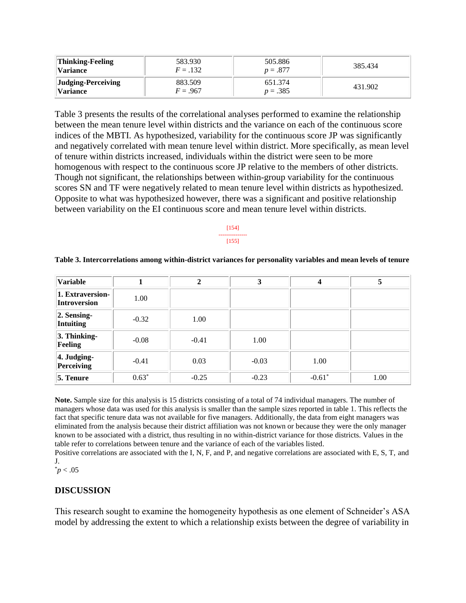| <b>Thinking-Feeling</b> | 583.930    | 505.886    | 385.434 |
|-------------------------|------------|------------|---------|
| <b>Variance</b>         | $F = .132$ | $p = .877$ |         |
| Judging-Perceiving      | 883.509    | 651.374    | 431.902 |
| <b>Variance</b>         | $F = .967$ | $p = .385$ |         |

Table 3 presents the results of the correlational analyses performed to examine the relationship between the mean tenure level within districts and the variance on each of the continuous score indices of the MBTI. As hypothesized, variability for the continuous score JP was significantly and negatively correlated with mean tenure level within district. More specifically, as mean level of tenure within districts increased, individuals within the district were seen to be more homogenous with respect to the continuous score JP relative to the members of other districts. Though not significant, the relationships between within-group variability for the continuous scores SN and TF were negatively related to mean tenure level within districts as hypothesized. Opposite to what was hypothesized however, there was a significant and positive relationship between variability on the EI continuous score and mean tenure level within districts.

> [154] --------------- [155]

#### **Table 3. Intercorrelations among within-district variances for personality variables and mean levels of tenure**

| <b>Variable</b>                         |         | $\boldsymbol{2}$ | 3       | 4                    | 5    |
|-----------------------------------------|---------|------------------|---------|----------------------|------|
| 1. Extraversion-<br><b>Introversion</b> | 1.00    |                  |         |                      |      |
| $2.$ Sensing-<br>Intuiting              | $-0.32$ | 1.00             |         |                      |      |
| $3.$ Thinking-<br>Feeling               | $-0.08$ | $-0.41$          | 1.00    |                      |      |
| $ 4. \text{ Judging}$ -<br>Perceiving   | $-0.41$ | 0.03             | $-0.03$ | 1.00                 |      |
| 5. Tenure                               | $0.63*$ | $-0.25$          | $-0.23$ | $-0.61$ <sup>*</sup> | 1.00 |

**Note.** Sample size for this analysis is 15 districts consisting of a total of 74 individual managers. The number of managers whose data was used for this analysis is smaller than the sample sizes reported in table 1. This reflects the fact that specific tenure data was not available for five managers. Additionally, the data from eight managers was eliminated from the analysis because their district affiliation was not known or because they were the only manager known to be associated with a district, thus resulting in no within-district variance for those districts. Values in the table refer to correlations between tenure and the variance of each of the variables listed.

Positive correlations are associated with the I, N, F, and P, and negative correlations are associated with E, S, T, and J.

 $^{*}p < .05$ 

## **DISCUSSION**

This research sought to examine the homogeneity hypothesis as one element of Schneider's ASA model by addressing the extent to which a relationship exists between the degree of variability in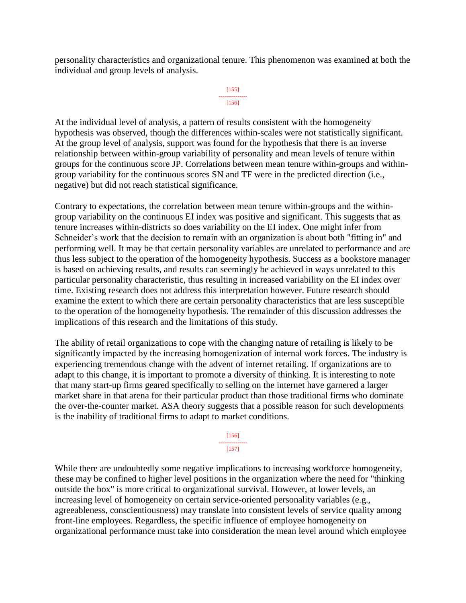personality characteristics and organizational tenure. This phenomenon was examined at both the individual and group levels of analysis.

```
[155]---------------
[156]
```
At the individual level of analysis, a pattern of results consistent with the homogeneity hypothesis was observed, though the differences within-scales were not statistically significant. At the group level of analysis, support was found for the hypothesis that there is an inverse relationship between within-group variability of personality and mean levels of tenure within groups for the continuous score JP. Correlations between mean tenure within-groups and withingroup variability for the continuous scores SN and TF were in the predicted direction (i.e., negative) but did not reach statistical significance.

Contrary to expectations, the correlation between mean tenure within-groups and the withingroup variability on the continuous EI index was positive and significant. This suggests that as tenure increases within-districts so does variability on the EI index. One might infer from Schneider's work that the decision to remain with an organization is about both "fitting in" and performing well. It may be that certain personality variables are unrelated to performance and are thus less subject to the operation of the homogeneity hypothesis. Success as a bookstore manager is based on achieving results, and results can seemingly be achieved in ways unrelated to this particular personality characteristic, thus resulting in increased variability on the EI index over time. Existing research does not address this interpretation however. Future research should examine the extent to which there are certain personality characteristics that are less susceptible to the operation of the homogeneity hypothesis. The remainder of this discussion addresses the implications of this research and the limitations of this study.

The ability of retail organizations to cope with the changing nature of retailing is likely to be significantly impacted by the increasing homogenization of internal work forces. The industry is experiencing tremendous change with the advent of internet retailing. If organizations are to adapt to this change, it is important to promote a diversity of thinking. It is interesting to note that many start-up firms geared specifically to selling on the internet have garnered a larger market share in that arena for their particular product than those traditional firms who dominate the over-the-counter market. ASA theory suggests that a possible reason for such developments is the inability of traditional firms to adapt to market conditions.

> [156] --------------- [157]

While there are undoubtedly some negative implications to increasing workforce homogeneity, these may be confined to higher level positions in the organization where the need for "thinking outside the box" is more critical to organizational survival. However, at lower levels, an increasing level of homogeneity on certain service-oriented personality variables (e.g., agreeableness, conscientiousness) may translate into consistent levels of service quality among front-line employees. Regardless, the specific influence of employee homogeneity on organizational performance must take into consideration the mean level around which employee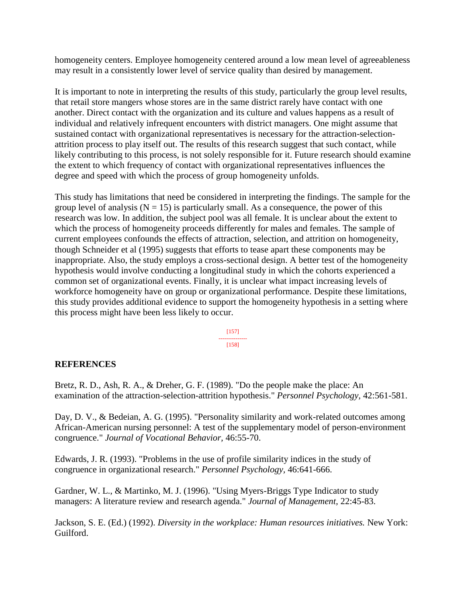homogeneity centers. Employee homogeneity centered around a low mean level of agreeableness may result in a consistently lower level of service quality than desired by management.

It is important to note in interpreting the results of this study, particularly the group level results, that retail store mangers whose stores are in the same district rarely have contact with one another. Direct contact with the organization and its culture and values happens as a result of individual and relatively infrequent encounters with district managers. One might assume that sustained contact with organizational representatives is necessary for the attraction-selectionattrition process to play itself out. The results of this research suggest that such contact, while likely contributing to this process, is not solely responsible for it. Future research should examine the extent to which frequency of contact with organizational representatives influences the degree and speed with which the process of group homogeneity unfolds.

This study has limitations that need be considered in interpreting the findings. The sample for the group level of analysis ( $N = 15$ ) is particularly small. As a consequence, the power of this research was low. In addition, the subject pool was all female. It is unclear about the extent to which the process of homogeneity proceeds differently for males and females. The sample of current employees confounds the effects of attraction, selection, and attrition on homogeneity, though Schneider et al (1995) suggests that efforts to tease apart these components may be inappropriate. Also, the study employs a cross-sectional design. A better test of the homogeneity hypothesis would involve conducting a longitudinal study in which the cohorts experienced a common set of organizational events. Finally, it is unclear what impact increasing levels of workforce homogeneity have on group or organizational performance. Despite these limitations, this study provides additional evidence to support the homogeneity hypothesis in a setting where this process might have been less likely to occur.

> [157] --------------- [158]

# **REFERENCES**

Bretz, R. D., Ash, R. A., & Dreher, G. F. (1989). "Do the people make the place: An examination of the attraction-selection-attrition hypothesis." *Personnel Psychology,* 42:561-581.

Day, D. V., & Bedeian, A. G. (1995). "Personality similarity and work-related outcomes among African-American nursing personnel: A test of the supplementary model of person-environment congruence." *Journal of Vocational Behavior,* 46:55-70.

Edwards, J. R. (1993). "Problems in the use of profile similarity indices in the study of congruence in organizational research." *Personnel Psychology,* 46:641-666.

Gardner, W. L., & Martinko, M. J. (1996). "Using Myers-Briggs Type Indicator to study managers: A literature review and research agenda." *Journal of Management,* 22:45-83.

Jackson, S. E. (Ed.) (1992). *Diversity in the workplace: Human resources initiatives.* New York: Guilford.